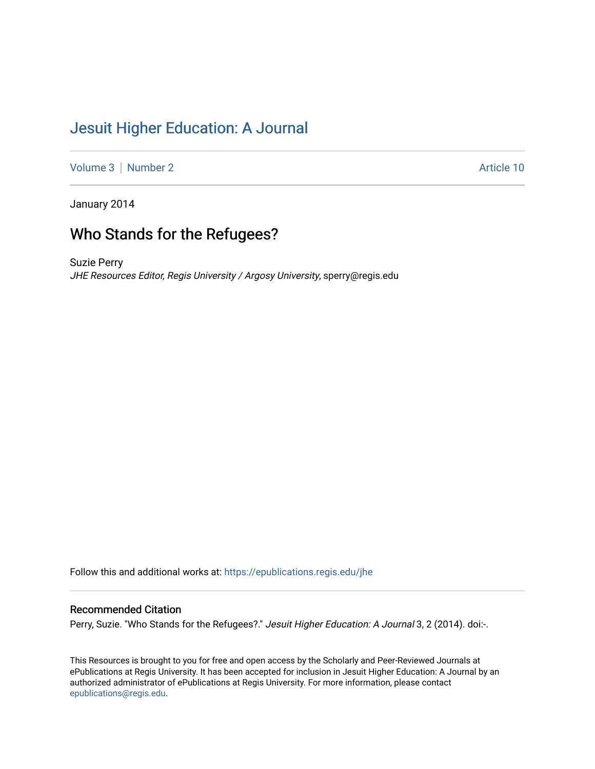## [Jesuit Higher Education: A Journal](https://epublications.regis.edu/jhe)

[Volume 3](https://epublications.regis.edu/jhe/vol3) | [Number 2](https://epublications.regis.edu/jhe/vol3/iss2) Article 10

January 2014

# Who Stands for the Refugees?

Suzie Perry JHE Resources Editor, Regis University / Argosy University, sperry@regis.edu

Follow this and additional works at: [https://epublications.regis.edu/jhe](https://epublications.regis.edu/jhe?utm_source=epublications.regis.edu%2Fjhe%2Fvol3%2Fiss2%2F10&utm_medium=PDF&utm_campaign=PDFCoverPages) 

### Recommended Citation

Perry, Suzie. "Who Stands for the Refugees?." Jesuit Higher Education: A Journal 3, 2 (2014). doi:-.

This Resources is brought to you for free and open access by the Scholarly and Peer-Reviewed Journals at ePublications at Regis University. It has been accepted for inclusion in Jesuit Higher Education: A Journal by an authorized administrator of ePublications at Regis University. For more information, please contact [epublications@regis.edu.](mailto:epublications@regis.edu)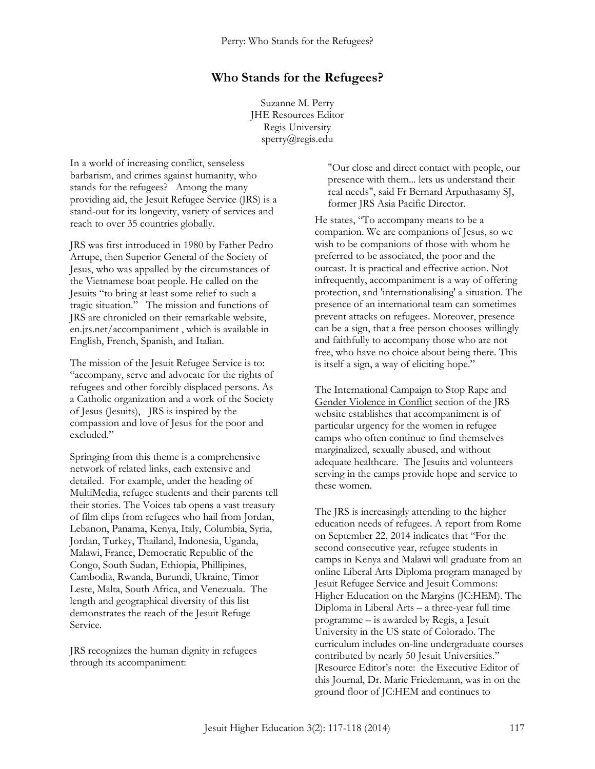### **Who Stands for the Refugees?**

Suzanne M. Perry JHE Resources Editor Regis University sperry@regis.edu

In a world of increasing conflict, senseless barbarism, and crimes against humanity, who stands for the refugees? Among the many providing aid, the Jesuit Refugee Service (JRS) is a stand-out for its longevity, variety of services and reach to over 35 countries globally.

JRS was first introduced in 1980 by Father Pedro Arrupe, then Superior General of the Society of Jesus, who was appalled by the circumstances of the Vietnamese boat people. He called on the Jesuits "to bring at least some relief to such a tragic situation." The mission and functions of JRS are chronicled on their remarkable website, en.jrs.net/accompaniment , which is available in English, French, Spanish, and Italian.

The mission of the Jesuit Refugee Service is to: "accompany, serve and advocate for the rights of refugees and other forcibly displaced persons. As a Catholic organization and a work of the Society of Jesus (Jesuits), JRS is inspired by the compassion and love of Jesus for the poor and excluded."

Springing from this theme is a comprehensive network of related links, each extensive and detailed. For example, under the heading of MultiMedia, refugee students and their parents tell their stories. The Voices tab opens a vast treasury of film clips from refugees who hail from Jordan, Lebanon, Panama, Kenya, Italy, Columbia, Syria, Jordan, Turkey, Thailand, Indonesia, Uganda, Malawi, France, Democratic Republic of the Congo, South Sudan, Ethiopia, Phillipines, Cambodia, Rwanda, Burundi, Ukraine, Timor Leste, Malta, South Africa, and Venezuala. The length and geographical diversity of this list demonstrates the reach of the Jesuit Refuge Service.

JRS recognizes the human dignity in refugees through its accompaniment:

"Our close and direct contact with people, our presence with them... lets us understand their real needs", said Fr Bernard Arputhasamy SJ, former JRS Asia Pacific Director.

He states, "To accompany means to be a companion. We are companions of Jesus, so we wish to be companions of those with whom he preferred to be associated, the poor and the outcast. It is practical and effective action. Not infrequently, accompaniment is a way of offering protection, and 'internationalising' a situation. The presence of an international team can sometimes prevent attacks on refugees. Moreover, presence can be a sign, that a free person chooses willingly and faithfully to accompany those who are not free, who have no choice about being there. This is itself a sign, a way of eliciting hope."

The International Campaign to Stop Rape and Gender Violence in Conflict section of the JRS website establishes that accompaniment is of particular urgency for the women in refugee camps who often continue to find themselves marginalized, sexually abused, and without adequate healthcare. The Jesuits and volunteers serving in the camps provide hope and service to these women.

The JRS is increasingly attending to the higher education needs of refugees. A report from Rome on September 22, 2014 indicates that "For the second consecutive year, refugee students in camps in Kenya and Malawi will graduate from an online Liberal Arts Diploma program managed by Jesuit Refugee Service and Jesuit Commons: Higher Education on the Margins (JC:HEM). The Diploma in Liberal Arts – a three-year full time programme – is awarded by Regis, a Jesuit University in the US state of Colorado. The curriculum includes on-line undergraduate courses contributed by nearly 50 Jesuit Universities." [Resource Editor's note: the Executive Editor of this Journal, Dr. Marie Friedemann, was in on the ground floor of JC:HEM and continues to